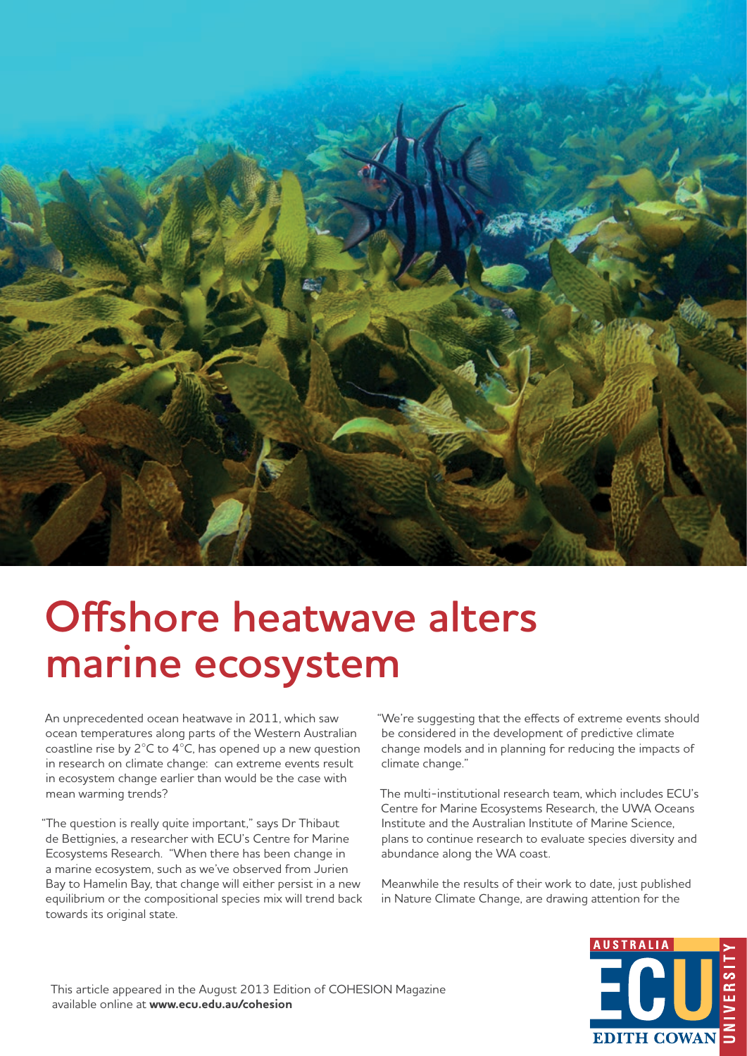

## **Offshore heatwave alters marine ecosystem**

An unprecedented ocean heatwave in 2011, which saw ocean temperatures along parts of the Western Australian coastline rise by 2°C to 4°C, has opened up a new question in research on climate change: can extreme events result in ecosystem change earlier than would be the case with mean warming trends?

"The question is really quite important," says Dr Thibaut de Bettignies, a researcher with ECU's Centre for Marine Ecosystems Research. "When there has been change in a marine ecosystem, such as we've observed from Jurien Bay to Hamelin Bay, that change will either persist in a new equilibrium or the compositional species mix will trend back towards its original state.

"We're suggesting that the effects of extreme events should be considered in the development of predictive climate change models and in planning for reducing the impacts of climate change."

The multi-institutional research team, which includes ECU's Centre for Marine Ecosystems Research, the UWA Oceans Institute and the Australian Institute of Marine Science, plans to continue research to evaluate species diversity and abundance along the WA coast.

Meanwhile the results of their work to date, just published in Nature Climate Change, are drawing attention for the



This article appeared in the August 2013 Edition of COHESION Magazine available online at **www.ecu.edu.au/cohesion**